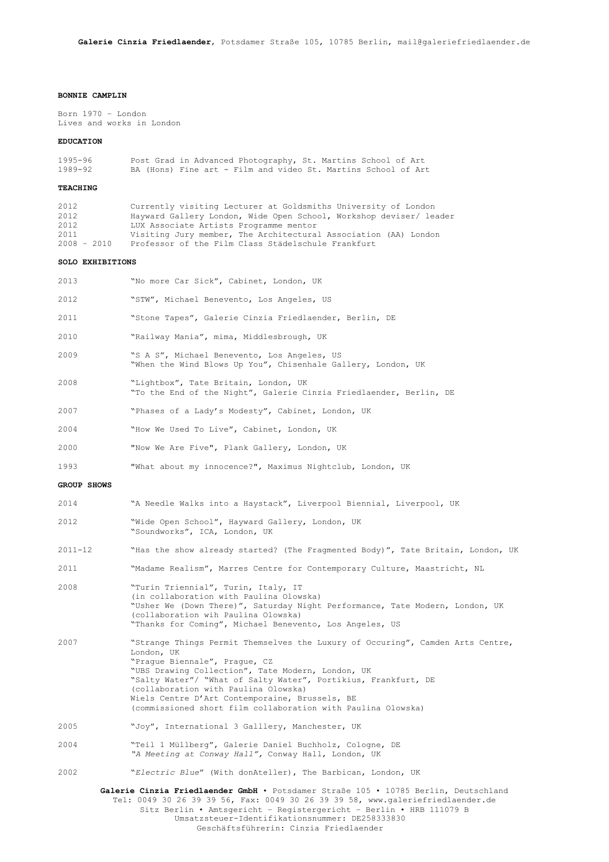# **BONNIE CAMPLIN**

Born 1970 – London Lives and works in London

#### **EDUCATION**

| 1995-96 |  |  |  |  | Post Grad in Advanced Photography, St. Martins School of Art  |  |  |
|---------|--|--|--|--|---------------------------------------------------------------|--|--|
| 1989-92 |  |  |  |  | BA (Hons) Fine art - Film and video St. Martins School of Art |  |  |

# **TEACHING**

| 2012          | Currently visiting Lecturer at Goldsmiths University of London     |
|---------------|--------------------------------------------------------------------|
| 2012          | Hayward Gallery London, Wide Open School, Workshop deviser/ leader |
| 2012          | LUX Associate Artists Programme mentor                             |
| 2011          | Visiting Jury member, The Architectural Association (AA) London    |
| $2008 - 2010$ | Professor of the Film Class Städelschule Frankfurt                 |

#### **SOLO EXHIBITIONS**

| 2013 |  |  | "No more Car Sick", Cabinet, London, UK |  |
|------|--|--|-----------------------------------------|--|
|      |  |  |                                         |  |

2012 "STW", Michael Benevento, Los Angeles, US

2011 "Stone Tapes", Galerie Cinzia Friedlaender, Berlin, DE

- 2010 "Railway Mania", mima, Middlesbrough, UK
- 2009 "S A S", Michael Benevento, Los Angeles, US "When the Wind Blows Up You", Chisenhale Gallery, London, UK
- 2008 "Lightbox", Tate Britain, London, UK "To the End of the Night", Galerie Cinzia Friedlaender, Berlin, DE
- 2007 "Phases of a Lady's Modesty", Cabinet, London, UK
- 2004 "How We Used To Live", Cabinet, London, UK
- 2000 "Now We Are Five", Plank Gallery, London, UK
- 1993 "What about my innocence?", Maximus Nightclub, London, UK

#### **GROUP SHOWS**

- 2014 "A Needle Walks into a Haystack", Liverpool Biennial, Liverpool, UK
- 2012 "Wide Open School", Hayward Gallery, London, UK "Soundworks", ICA, London, UK
- 2011-12 "Has the show already started? (The Fragmented Body)", Tate Britain, London, UK
- 2011 "Madame Realism", Marres Centre for Contemporary Culture, Maastricht, NL
- 2008 "Turin Triennial", Turin, Italy, IT (in collaboration with Paulina Olowska) "Usher We (Down There)", Saturday Night Performance, Tate Modern, London, UK (collaboration wih Paulina Olowska) "Thanks for Coming", Michael Benevento, Los Angeles, US
- 2007 "Strange Things Permit Themselves the Luxury of Occuring", Camden Arts Centre, London, UK "Prague Biennale", Prague, CZ "UBS Drawing Collection", Tate Modern, London, UK "Salty Water"/ "What of Salty Water", Portikius, Frankfurt, DE (collaboration with Paulina Olowska) Wiels Centre D'Art Contemporaine, Brussels, BE (commissioned short film collaboration with Paulina Olowska)
- 2005 "Joy", International 3 Galllery, Manchester, UK
- 2004 "Teil 1 Müllberg", Galerie Daniel Buchholz, Cologne, DE *"A Meeting at Conway Hall",* Conway Hall, London, UK
- 2002 "*Electric Blue*" (With donAteller), The Barbican, London, UK

**Galerie Cinzia Friedlaender GmbH** • Potsdamer Straße 105 • 10785 Berlin, Deutschland Tel: 0049 30 26 39 39 56, Fax: 0049 30 26 39 39 58, www.galeriefriedlaender.de Sitz Berlin • Amtsgericht – Registergericht – Berlin • HRB 111079 B Umsatzsteuer-Identifikationsnummer: DE258333830 Geschäftsführerin: Cinzia Friedlaender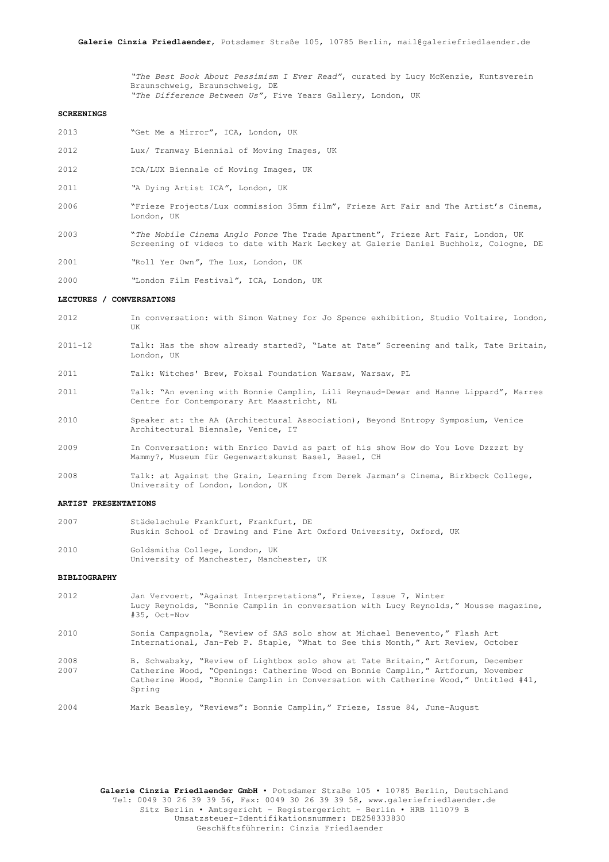*"The Best Book About Pessimism I Ever Read"*, curated by Lucy McKenzie, Kuntsverein Braunschweig, Braunschweig, DE *"The Difference Between Us",* Five Years Gallery, London, UK

#### **SCREENINGS**

- 2013 "Get Me a Mirror", ICA, London, UK
- 2012 Lux/ Tramway Biennial of Moving Images, UK
- 2012 ICA/LUX Biennale of Moving Images, UK
- 2011 *"*A Dying Artist ICA*"*, London, UK
- 2006 "Frieze Projects/Lux commission 35mm film", Frieze Art Fair and The Artist's Cinema, London, UK
- 2003 "*The Mobile Cinema Anglo Ponce* The Trade Apartment", Frieze Art Fair, London, UK Screening of videos to date with Mark Leckey at Galerie Daniel Buchholz, Cologne, DE
- 2001 *"*Roll Yer Own*"*, The Lux, London, UK

2000 *"*London Film Festival*"*, ICA, London, UK

### **LECTURES / CONVERSATIONS**

- 2012 In conversation: with Simon Watney for Jo Spence exhibition, Studio Voltaire, London, UK
- 2011-12 Talk: Has the show already started?, "Late at Tate" Screening and talk, Tate Britain, London, UK
- 2011 Talk: Witches' Brew, Foksal Foundation Warsaw, Warsaw, PL
- 2011 Talk: "An evening with Bonnie Camplin, Lili Reynaud-Dewar and Hanne Lippard", Marres Centre for Contemporary Art Maastricht, NL
- 2010 Speaker at: the AA (Architectural Association), Beyond Entropy Symposium, Venice Architectural Biennale, Venice, IT
- 2009 In Conversation: with Enrico David as part of his show How do You Love Dzzzzt by Mammy?, Museum für Gegenwartskunst Basel, Basel, CH
- 2008 Talk: at Against the Grain, Learning from Derek Jarman's Cinema, Birkbeck College, University of London, London, UK

### **ARTIST PRESENTATIONS**

- 2007 Städelschule Frankfurt, Frankfurt, DE Ruskin School of Drawing and Fine Art Oxford University, Oxford, UK
- 2010 Goldsmiths College, London, UK University of Manchester, Manchester, UK

### **BIBLIOGRAPHY**

- 2012 Jan Vervoert, "Against Interpretations", Frieze, Issue 7, Winter Lucy Reynolds, "Bonnie Camplin in conversation with Lucy Reynolds," Mousse magazine, #35, Oct-Nov
- 2010 Sonia Campagnola, "Review of SAS solo show at Michael Benevento," Flash Art International, Jan-Feb P. Staple, "What to See this Month," Art Review, October
- 2008 B. Schwabsky, "Review of Lightbox solo show at Tate Britain," Artforum, December 2007 Catherine Wood, "Openings: Catherine Wood on Bonnie Camplin," Artforum, November Catherine Wood, "Bonnie Camplin in Conversation with Catherine Wood," Untitled #41, Spring
- 2004 Mark Beasley, "Reviews": Bonnie Camplin," Frieze, Issue 84, June-August